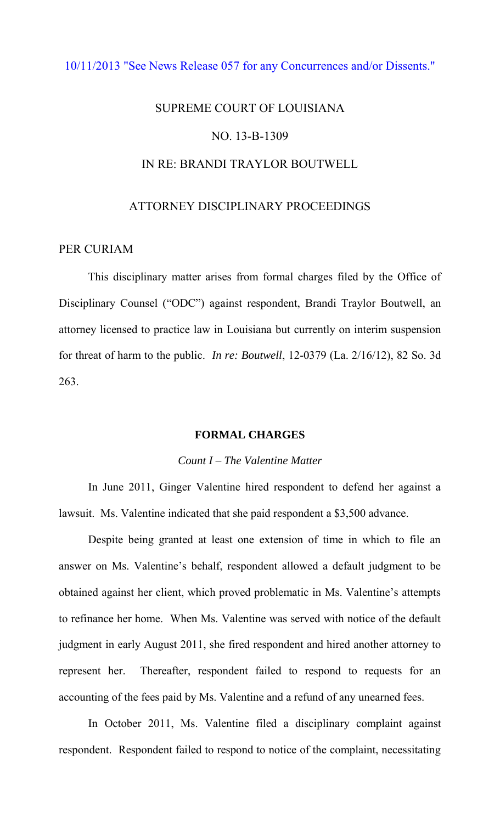# [10/11/2013 "See News Release 057 for any Concurrences and/or Dissents."](http://www.lasc.org/Actions?p=2013-057)

# SUPREME COURT OF LOUISIANA NO. 13-B-1309 IN RE: BRANDI TRAYLOR BOUTWELL

# ATTORNEY DISCIPLINARY PROCEEDINGS

# PER CURIAM

 This disciplinary matter arises from formal charges filed by the Office of Disciplinary Counsel ("ODC") against respondent, Brandi Traylor Boutwell, an attorney licensed to practice law in Louisiana but currently on interim suspension for threat of harm to the public. *In re: Boutwell*, 12-0379 (La. 2/16/12), 82 So. 3d 263.

## **FORMAL CHARGES**

## *Count I – The Valentine Matter*

 In June 2011, Ginger Valentine hired respondent to defend her against a lawsuit. Ms. Valentine indicated that she paid respondent a \$3,500 advance.

 Despite being granted at least one extension of time in which to file an answer on Ms. Valentine's behalf, respondent allowed a default judgment to be obtained against her client, which proved problematic in Ms. Valentine's attempts to refinance her home. When Ms. Valentine was served with notice of the default judgment in early August 2011, she fired respondent and hired another attorney to represent her. Thereafter, respondent failed to respond to requests for an accounting of the fees paid by Ms. Valentine and a refund of any unearned fees.

 In October 2011, Ms. Valentine filed a disciplinary complaint against respondent. Respondent failed to respond to notice of the complaint, necessitating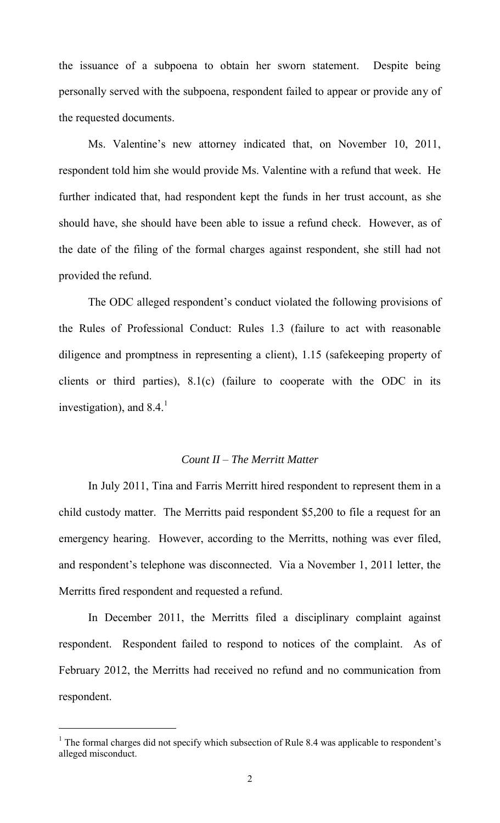the issuance of a subpoena to obtain her sworn statement. Despite being personally served with the subpoena, respondent failed to appear or provide any of the requested documents.

 Ms. Valentine's new attorney indicated that, on November 10, 2011, respondent told him she would provide Ms. Valentine with a refund that week. He further indicated that, had respondent kept the funds in her trust account, as she should have, she should have been able to issue a refund check. However, as of the date of the filing of the formal charges against respondent, she still had not provided the refund.

 The ODC alleged respondent's conduct violated the following provisions of the Rules of Professional Conduct: Rules 1.3 (failure to act with reasonable diligence and promptness in representing a client), 1.15 (safekeeping property of clients or third parties), 8.1(c) (failure to cooperate with the ODC in its investigation), and  $8.4<sup>1</sup>$ 

## *Count II – The Merritt Matter*

 In July 2011, Tina and Farris Merritt hired respondent to represent them in a child custody matter. The Merritts paid respondent \$5,200 to file a request for an emergency hearing. However, according to the Merritts, nothing was ever filed, and respondent's telephone was disconnected. Via a November 1, 2011 letter, the Merritts fired respondent and requested a refund.

 In December 2011, the Merritts filed a disciplinary complaint against respondent. Respondent failed to respond to notices of the complaint. As of February 2012, the Merritts had received no refund and no communication from respondent.

 $\overline{a}$ 

<sup>&</sup>lt;sup>1</sup> The formal charges did not specify which subsection of Rule 8.4 was applicable to respondent's alleged misconduct.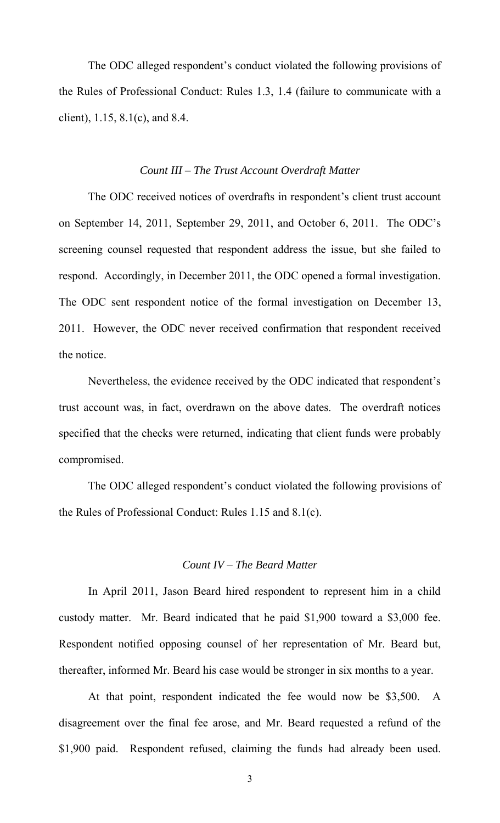The ODC alleged respondent's conduct violated the following provisions of the Rules of Professional Conduct: Rules 1.3, 1.4 (failure to communicate with a client), 1.15, 8.1(c), and 8.4.

#### *Count III – The Trust Account Overdraft Matter*

 The ODC received notices of overdrafts in respondent's client trust account on September 14, 2011, September 29, 2011, and October 6, 2011. The ODC's screening counsel requested that respondent address the issue, but she failed to respond. Accordingly, in December 2011, the ODC opened a formal investigation. The ODC sent respondent notice of the formal investigation on December 13, 2011. However, the ODC never received confirmation that respondent received the notice.

 Nevertheless, the evidence received by the ODC indicated that respondent's trust account was, in fact, overdrawn on the above dates. The overdraft notices specified that the checks were returned, indicating that client funds were probably compromised.

 The ODC alleged respondent's conduct violated the following provisions of the Rules of Professional Conduct: Rules 1.15 and 8.1(c).

## *Count IV – The Beard Matter*

 In April 2011, Jason Beard hired respondent to represent him in a child custody matter. Mr. Beard indicated that he paid \$1,900 toward a \$3,000 fee. Respondent notified opposing counsel of her representation of Mr. Beard but, thereafter, informed Mr. Beard his case would be stronger in six months to a year.

 At that point, respondent indicated the fee would now be \$3,500. A disagreement over the final fee arose, and Mr. Beard requested a refund of the \$1,900 paid. Respondent refused, claiming the funds had already been used.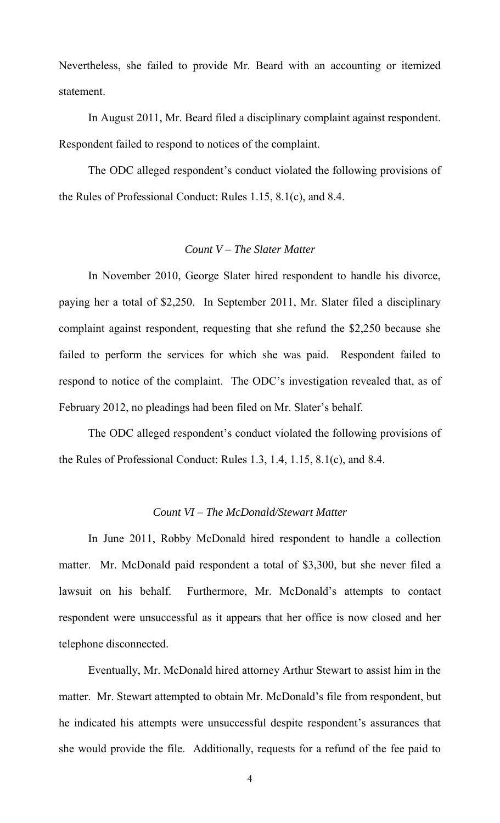Nevertheless, she failed to provide Mr. Beard with an accounting or itemized statement.

 In August 2011, Mr. Beard filed a disciplinary complaint against respondent. Respondent failed to respond to notices of the complaint.

 The ODC alleged respondent's conduct violated the following provisions of the Rules of Professional Conduct: Rules 1.15, 8.1(c), and 8.4.

# *Count V – The Slater Matter*

 In November 2010, George Slater hired respondent to handle his divorce, paying her a total of \$2,250. In September 2011, Mr. Slater filed a disciplinary complaint against respondent, requesting that she refund the \$2,250 because she failed to perform the services for which she was paid. Respondent failed to respond to notice of the complaint. The ODC's investigation revealed that, as of February 2012, no pleadings had been filed on Mr. Slater's behalf.

 The ODC alleged respondent's conduct violated the following provisions of the Rules of Professional Conduct: Rules 1.3, 1.4, 1.15, 8.1(c), and 8.4.

# *Count VI – The McDonald/Stewart Matter*

 In June 2011, Robby McDonald hired respondent to handle a collection matter. Mr. McDonald paid respondent a total of \$3,300, but she never filed a lawsuit on his behalf. Furthermore, Mr. McDonald's attempts to contact respondent were unsuccessful as it appears that her office is now closed and her telephone disconnected.

 Eventually, Mr. McDonald hired attorney Arthur Stewart to assist him in the matter. Mr. Stewart attempted to obtain Mr. McDonald's file from respondent, but he indicated his attempts were unsuccessful despite respondent's assurances that she would provide the file. Additionally, requests for a refund of the fee paid to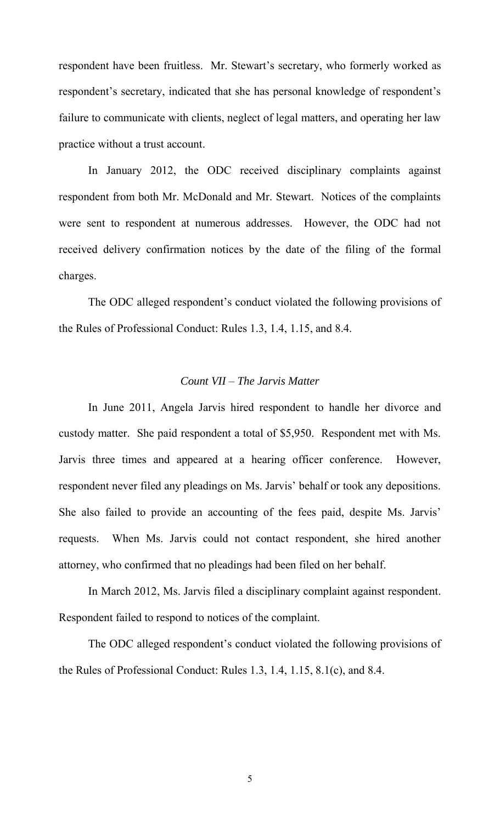respondent have been fruitless. Mr. Stewart's secretary, who formerly worked as respondent's secretary, indicated that she has personal knowledge of respondent's failure to communicate with clients, neglect of legal matters, and operating her law practice without a trust account.

 In January 2012, the ODC received disciplinary complaints against respondent from both Mr. McDonald and Mr. Stewart. Notices of the complaints were sent to respondent at numerous addresses. However, the ODC had not received delivery confirmation notices by the date of the filing of the formal charges.

 The ODC alleged respondent's conduct violated the following provisions of the Rules of Professional Conduct: Rules 1.3, 1.4, 1.15, and 8.4.

# *Count VII – The Jarvis Matter*

 In June 2011, Angela Jarvis hired respondent to handle her divorce and custody matter. She paid respondent a total of \$5,950. Respondent met with Ms. Jarvis three times and appeared at a hearing officer conference. However, respondent never filed any pleadings on Ms. Jarvis' behalf or took any depositions. She also failed to provide an accounting of the fees paid, despite Ms. Jarvis' requests. When Ms. Jarvis could not contact respondent, she hired another attorney, who confirmed that no pleadings had been filed on her behalf.

 In March 2012, Ms. Jarvis filed a disciplinary complaint against respondent. Respondent failed to respond to notices of the complaint.

 The ODC alleged respondent's conduct violated the following provisions of the Rules of Professional Conduct: Rules 1.3, 1.4, 1.15, 8.1(c), and 8.4.

5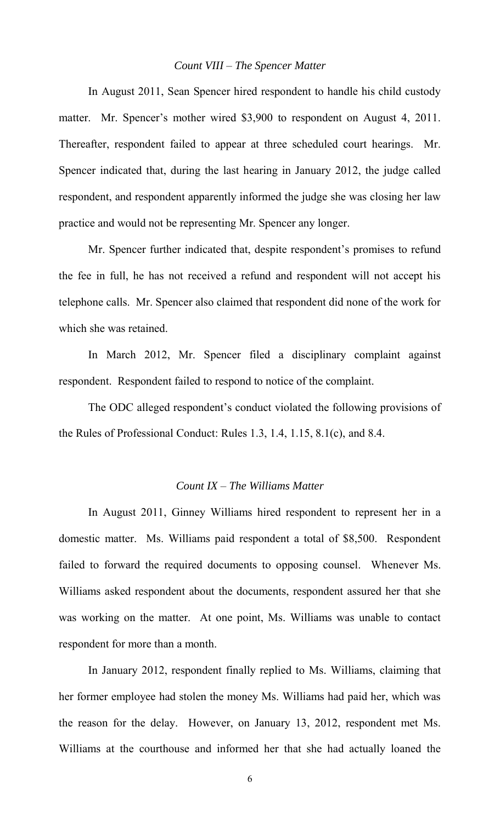## *Count VIII – The Spencer Matter*

 In August 2011, Sean Spencer hired respondent to handle his child custody matter. Mr. Spencer's mother wired \$3,900 to respondent on August 4, 2011. Thereafter, respondent failed to appear at three scheduled court hearings. Mr. Spencer indicated that, during the last hearing in January 2012, the judge called respondent, and respondent apparently informed the judge she was closing her law practice and would not be representing Mr. Spencer any longer.

 Mr. Spencer further indicated that, despite respondent's promises to refund the fee in full, he has not received a refund and respondent will not accept his telephone calls. Mr. Spencer also claimed that respondent did none of the work for which she was retained.

 In March 2012, Mr. Spencer filed a disciplinary complaint against respondent. Respondent failed to respond to notice of the complaint.

 The ODC alleged respondent's conduct violated the following provisions of the Rules of Professional Conduct: Rules 1.3, 1.4, 1.15, 8.1(c), and 8.4.

#### *Count IX – The Williams Matter*

 In August 2011, Ginney Williams hired respondent to represent her in a domestic matter. Ms. Williams paid respondent a total of \$8,500. Respondent failed to forward the required documents to opposing counsel. Whenever Ms. Williams asked respondent about the documents, respondent assured her that she was working on the matter. At one point, Ms. Williams was unable to contact respondent for more than a month.

 In January 2012, respondent finally replied to Ms. Williams, claiming that her former employee had stolen the money Ms. Williams had paid her, which was the reason for the delay. However, on January 13, 2012, respondent met Ms. Williams at the courthouse and informed her that she had actually loaned the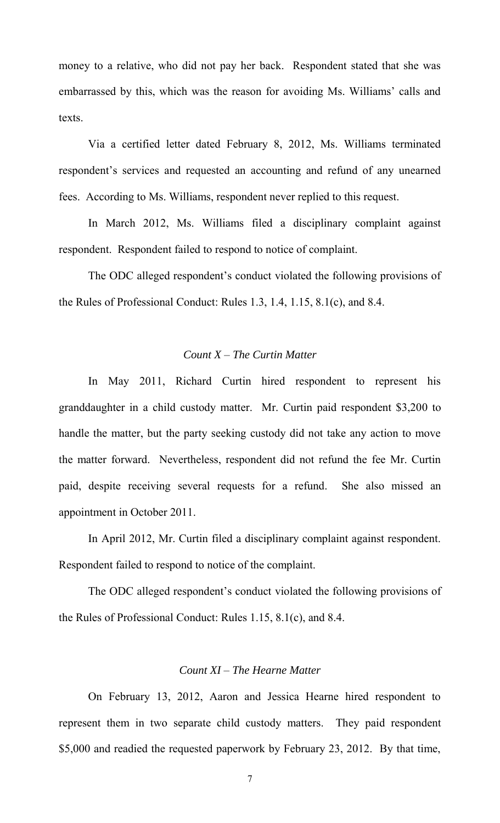money to a relative, who did not pay her back. Respondent stated that she was embarrassed by this, which was the reason for avoiding Ms. Williams' calls and texts.

 Via a certified letter dated February 8, 2012, Ms. Williams terminated respondent's services and requested an accounting and refund of any unearned fees. According to Ms. Williams, respondent never replied to this request.

 In March 2012, Ms. Williams filed a disciplinary complaint against respondent. Respondent failed to respond to notice of complaint.

 The ODC alleged respondent's conduct violated the following provisions of the Rules of Professional Conduct: Rules 1.3, 1.4, 1.15, 8.1(c), and 8.4.

## *Count X – The Curtin Matter*

 In May 2011, Richard Curtin hired respondent to represent his granddaughter in a child custody matter. Mr. Curtin paid respondent \$3,200 to handle the matter, but the party seeking custody did not take any action to move the matter forward. Nevertheless, respondent did not refund the fee Mr. Curtin paid, despite receiving several requests for a refund. She also missed an appointment in October 2011.

 In April 2012, Mr. Curtin filed a disciplinary complaint against respondent. Respondent failed to respond to notice of the complaint.

 The ODC alleged respondent's conduct violated the following provisions of the Rules of Professional Conduct: Rules 1.15, 8.1(c), and 8.4.

# *Count XI – The Hearne Matter*

 On February 13, 2012, Aaron and Jessica Hearne hired respondent to represent them in two separate child custody matters. They paid respondent \$5,000 and readied the requested paperwork by February 23, 2012. By that time,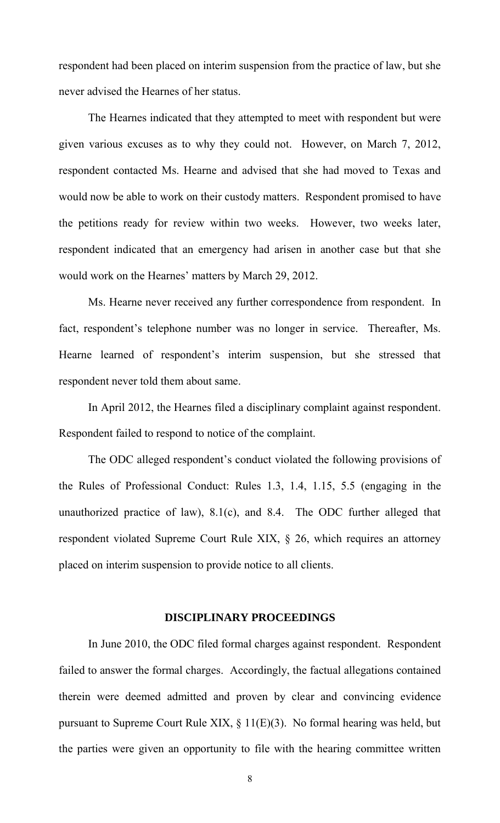respondent had been placed on interim suspension from the practice of law, but she never advised the Hearnes of her status.

 The Hearnes indicated that they attempted to meet with respondent but were given various excuses as to why they could not. However, on March 7, 2012, respondent contacted Ms. Hearne and advised that she had moved to Texas and would now be able to work on their custody matters. Respondent promised to have the petitions ready for review within two weeks. However, two weeks later, respondent indicated that an emergency had arisen in another case but that she would work on the Hearnes' matters by March 29, 2012.

 Ms. Hearne never received any further correspondence from respondent. In fact, respondent's telephone number was no longer in service. Thereafter, Ms. Hearne learned of respondent's interim suspension, but she stressed that respondent never told them about same.

 In April 2012, the Hearnes filed a disciplinary complaint against respondent. Respondent failed to respond to notice of the complaint.

 The ODC alleged respondent's conduct violated the following provisions of the Rules of Professional Conduct: Rules 1.3, 1.4, 1.15, 5.5 (engaging in the unauthorized practice of law), 8.1(c), and 8.4. The ODC further alleged that respondent violated Supreme Court Rule XIX, § 26, which requires an attorney placed on interim suspension to provide notice to all clients.

#### **DISCIPLINARY PROCEEDINGS**

 In June 2010, the ODC filed formal charges against respondent. Respondent failed to answer the formal charges. Accordingly, the factual allegations contained therein were deemed admitted and proven by clear and convincing evidence pursuant to Supreme Court Rule XIX, § 11(E)(3). No formal hearing was held, but the parties were given an opportunity to file with the hearing committee written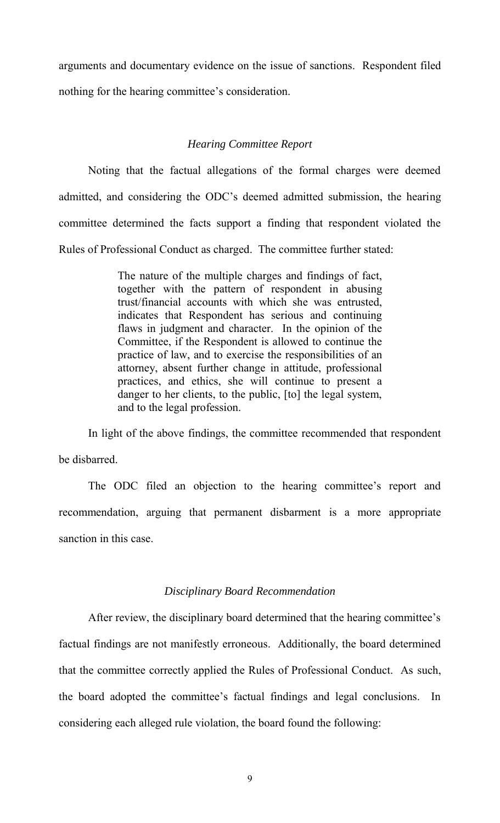arguments and documentary evidence on the issue of sanctions. Respondent filed nothing for the hearing committee's consideration.

## *Hearing Committee Report*

 Noting that the factual allegations of the formal charges were deemed admitted, and considering the ODC's deemed admitted submission, the hearing committee determined the facts support a finding that respondent violated the Rules of Professional Conduct as charged. The committee further stated:

> The nature of the multiple charges and findings of fact, together with the pattern of respondent in abusing trust/financial accounts with which she was entrusted, indicates that Respondent has serious and continuing flaws in judgment and character. In the opinion of the Committee, if the Respondent is allowed to continue the practice of law, and to exercise the responsibilities of an attorney, absent further change in attitude, professional practices, and ethics, she will continue to present a danger to her clients, to the public, [to] the legal system, and to the legal profession.

 In light of the above findings, the committee recommended that respondent be disbarred.

 The ODC filed an objection to the hearing committee's report and recommendation, arguing that permanent disbarment is a more appropriate sanction in this case.

## *Disciplinary Board Recommendation*

 After review, the disciplinary board determined that the hearing committee's factual findings are not manifestly erroneous. Additionally, the board determined that the committee correctly applied the Rules of Professional Conduct. As such, the board adopted the committee's factual findings and legal conclusions. In considering each alleged rule violation, the board found the following:

9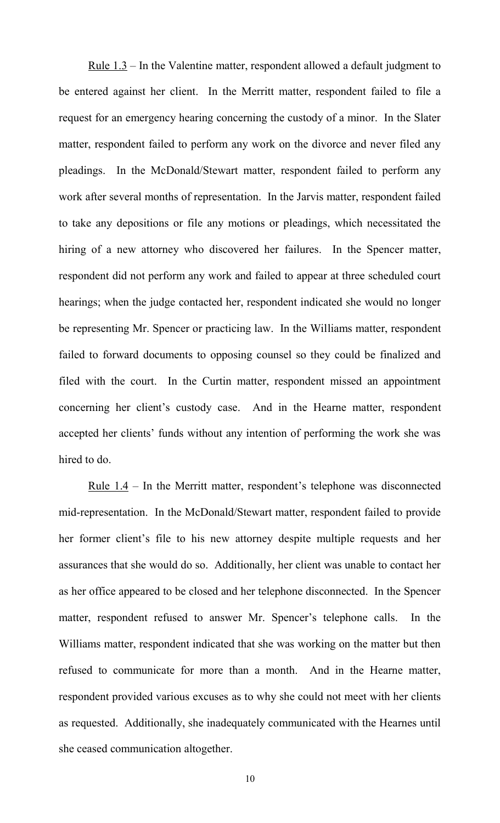Rule 1.3 – In the Valentine matter, respondent allowed a default judgment to be entered against her client. In the Merritt matter, respondent failed to file a request for an emergency hearing concerning the custody of a minor. In the Slater matter, respondent failed to perform any work on the divorce and never filed any pleadings. In the McDonald/Stewart matter, respondent failed to perform any work after several months of representation. In the Jarvis matter, respondent failed to take any depositions or file any motions or pleadings, which necessitated the hiring of a new attorney who discovered her failures. In the Spencer matter, respondent did not perform any work and failed to appear at three scheduled court hearings; when the judge contacted her, respondent indicated she would no longer be representing Mr. Spencer or practicing law. In the Williams matter, respondent failed to forward documents to opposing counsel so they could be finalized and filed with the court. In the Curtin matter, respondent missed an appointment concerning her client's custody case. And in the Hearne matter, respondent accepted her clients' funds without any intention of performing the work she was hired to do.

<u>Rule  $1.4$ </u> – In the Merritt matter, respondent's telephone was disconnected mid-representation. In the McDonald/Stewart matter, respondent failed to provide her former client's file to his new attorney despite multiple requests and her assurances that she would do so. Additionally, her client was unable to contact her as her office appeared to be closed and her telephone disconnected. In the Spencer matter, respondent refused to answer Mr. Spencer's telephone calls. In the Williams matter, respondent indicated that she was working on the matter but then refused to communicate for more than a month. And in the Hearne matter, respondent provided various excuses as to why she could not meet with her clients as requested. Additionally, she inadequately communicated with the Hearnes until she ceased communication altogether.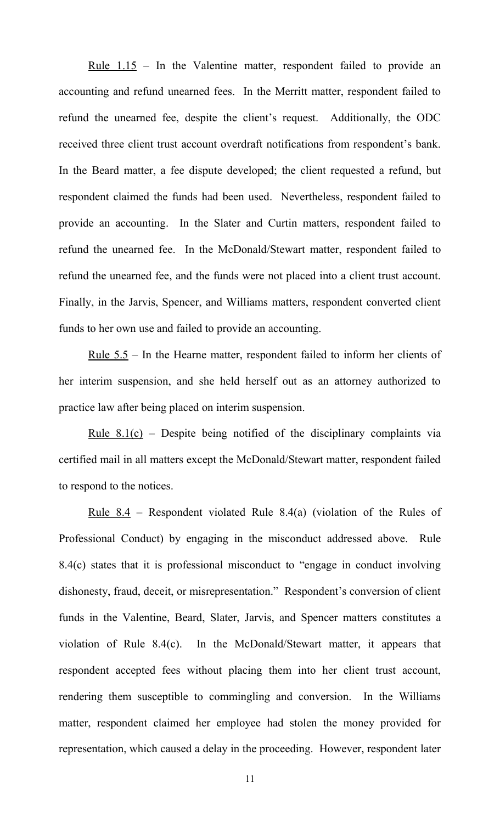<u>Rule 1.15</u> – In the Valentine matter, respondent failed to provide an accounting and refund unearned fees. In the Merritt matter, respondent failed to refund the unearned fee, despite the client's request. Additionally, the ODC received three client trust account overdraft notifications from respondent's bank. In the Beard matter, a fee dispute developed; the client requested a refund, but respondent claimed the funds had been used. Nevertheless, respondent failed to provide an accounting. In the Slater and Curtin matters, respondent failed to refund the unearned fee. In the McDonald/Stewart matter, respondent failed to refund the unearned fee, and the funds were not placed into a client trust account. Finally, in the Jarvis, Spencer, and Williams matters, respondent converted client funds to her own use and failed to provide an accounting.

<u>Rule  $5.5$ </u> – In the Hearne matter, respondent failed to inform her clients of her interim suspension, and she held herself out as an attorney authorized to practice law after being placed on interim suspension.

Rule  $8.1(c)$  – Despite being notified of the disciplinary complaints via certified mail in all matters except the McDonald/Stewart matter, respondent failed to respond to the notices.

 Rule 8.4 – Respondent violated Rule 8.4(a) (violation of the Rules of Professional Conduct) by engaging in the misconduct addressed above. Rule 8.4(c) states that it is professional misconduct to "engage in conduct involving dishonesty, fraud, deceit, or misrepresentation." Respondent's conversion of client funds in the Valentine, Beard, Slater, Jarvis, and Spencer matters constitutes a violation of Rule 8.4(c). In the McDonald/Stewart matter, it appears that respondent accepted fees without placing them into her client trust account, rendering them susceptible to commingling and conversion. In the Williams matter, respondent claimed her employee had stolen the money provided for representation, which caused a delay in the proceeding. However, respondent later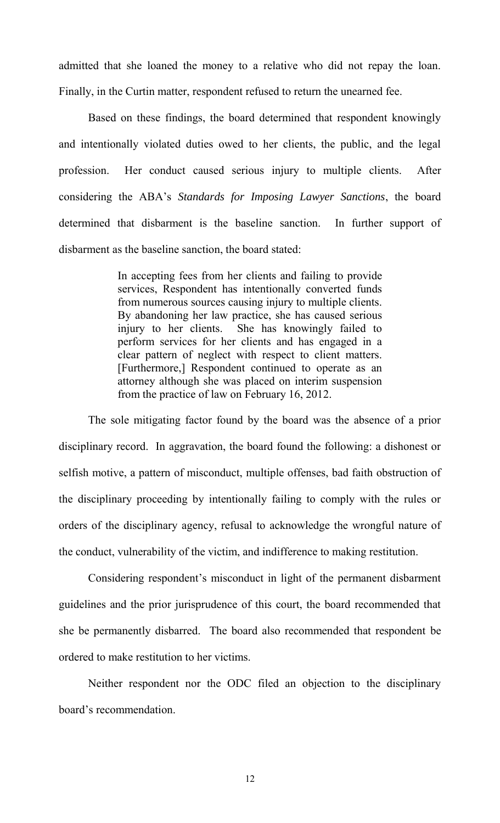admitted that she loaned the money to a relative who did not repay the loan. Finally, in the Curtin matter, respondent refused to return the unearned fee.

 Based on these findings, the board determined that respondent knowingly and intentionally violated duties owed to her clients, the public, and the legal profession. Her conduct caused serious injury to multiple clients. After considering the ABA's *Standards for Imposing Lawyer Sanctions*, the board determined that disbarment is the baseline sanction. In further support of disbarment as the baseline sanction, the board stated:

> In accepting fees from her clients and failing to provide services, Respondent has intentionally converted funds from numerous sources causing injury to multiple clients. By abandoning her law practice, she has caused serious injury to her clients. She has knowingly failed to perform services for her clients and has engaged in a clear pattern of neglect with respect to client matters. [Furthermore,] Respondent continued to operate as an attorney although she was placed on interim suspension from the practice of law on February 16, 2012.

 The sole mitigating factor found by the board was the absence of a prior disciplinary record. In aggravation, the board found the following: a dishonest or selfish motive, a pattern of misconduct, multiple offenses, bad faith obstruction of the disciplinary proceeding by intentionally failing to comply with the rules or orders of the disciplinary agency, refusal to acknowledge the wrongful nature of the conduct, vulnerability of the victim, and indifference to making restitution.

 Considering respondent's misconduct in light of the permanent disbarment guidelines and the prior jurisprudence of this court, the board recommended that she be permanently disbarred. The board also recommended that respondent be ordered to make restitution to her victims.

 Neither respondent nor the ODC filed an objection to the disciplinary board's recommendation.

12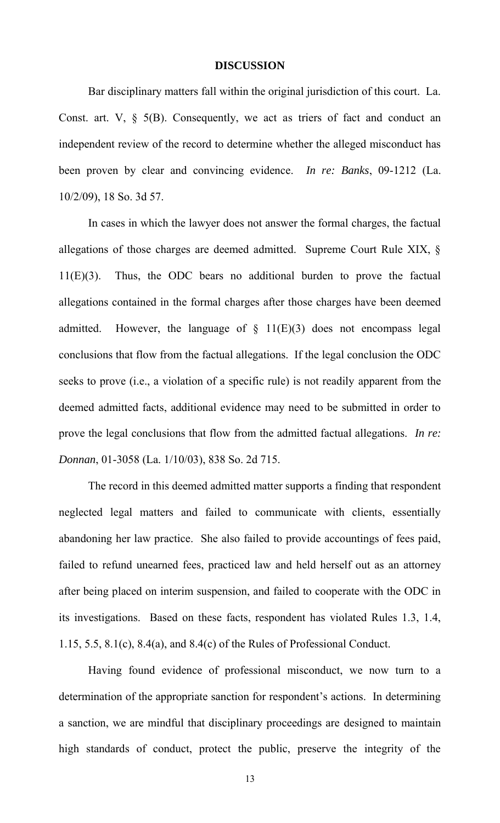#### **DISCUSSION**

Bar disciplinary matters fall within the original jurisdiction of this court. La. Const. art. V,  $\S$  5(B). Consequently, we act as triers of fact and conduct an independent review of the record to determine whether the alleged misconduct has been proven by clear and convincing evidence. *In re: Banks*, 09-1212 (La. 10/2/09), 18 So. 3d 57.

In cases in which the lawyer does not answer the formal charges, the factual allegations of those charges are deemed admitted. Supreme Court Rule XIX, § 11(E)(3). Thus, the ODC bears no additional burden to prove the factual allegations contained in the formal charges after those charges have been deemed admitted. However, the language of  $\S$  11(E)(3) does not encompass legal conclusions that flow from the factual allegations. If the legal conclusion the ODC seeks to prove (i.e., a violation of a specific rule) is not readily apparent from the deemed admitted facts, additional evidence may need to be submitted in order to prove the legal conclusions that flow from the admitted factual allegations. *In re: Donnan*, 01-3058 (La. 1/10/03), 838 So. 2d 715.

 The record in this deemed admitted matter supports a finding that respondent neglected legal matters and failed to communicate with clients, essentially abandoning her law practice. She also failed to provide accountings of fees paid, failed to refund unearned fees, practiced law and held herself out as an attorney after being placed on interim suspension, and failed to cooperate with the ODC in its investigations. Based on these facts, respondent has violated Rules 1.3, 1.4, 1.15, 5.5, 8.1(c), 8.4(a), and 8.4(c) of the Rules of Professional Conduct.

Having found evidence of professional misconduct, we now turn to a determination of the appropriate sanction for respondent's actions. In determining a sanction, we are mindful that disciplinary proceedings are designed to maintain high standards of conduct, protect the public, preserve the integrity of the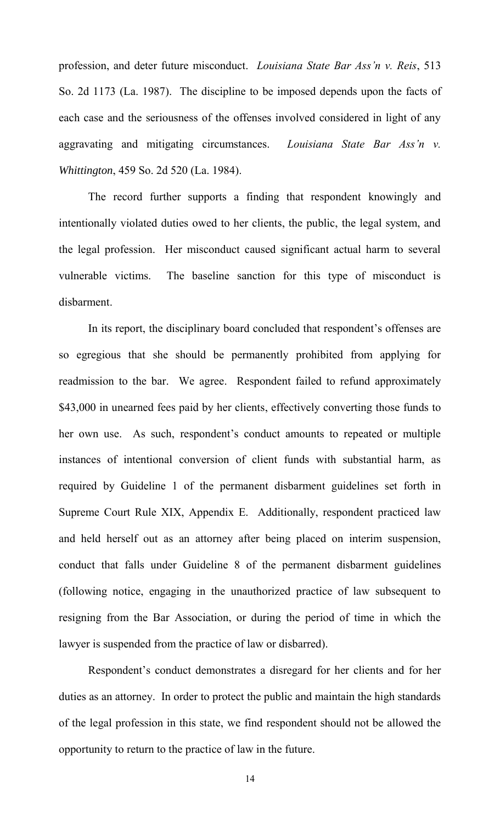profession, and deter future misconduct. *Louisiana State Bar Ass'n v. Reis*, 513 So. 2d 1173 (La. 1987). The discipline to be imposed depends upon the facts of each case and the seriousness of the offenses involved considered in light of any aggravating and mitigating circumstances. *Louisiana State Bar Ass'n v. Whittington*, 459 So. 2d 520 (La. 1984).

 The record further supports a finding that respondent knowingly and intentionally violated duties owed to her clients, the public, the legal system, and the legal profession. Her misconduct caused significant actual harm to several vulnerable victims. The baseline sanction for this type of misconduct is disbarment.

 In its report, the disciplinary board concluded that respondent's offenses are so egregious that she should be permanently prohibited from applying for readmission to the bar. We agree. Respondent failed to refund approximately \$43,000 in unearned fees paid by her clients, effectively converting those funds to her own use. As such, respondent's conduct amounts to repeated or multiple instances of intentional conversion of client funds with substantial harm, as required by Guideline 1 of the permanent disbarment guidelines set forth in Supreme Court Rule XIX, Appendix E. Additionally, respondent practiced law and held herself out as an attorney after being placed on interim suspension, conduct that falls under Guideline 8 of the permanent disbarment guidelines (following notice, engaging in the unauthorized practice of law subsequent to resigning from the Bar Association, or during the period of time in which the lawyer is suspended from the practice of law or disbarred).

 Respondent's conduct demonstrates a disregard for her clients and for her duties as an attorney. In order to protect the public and maintain the high standards of the legal profession in this state, we find respondent should not be allowed the opportunity to return to the practice of law in the future.